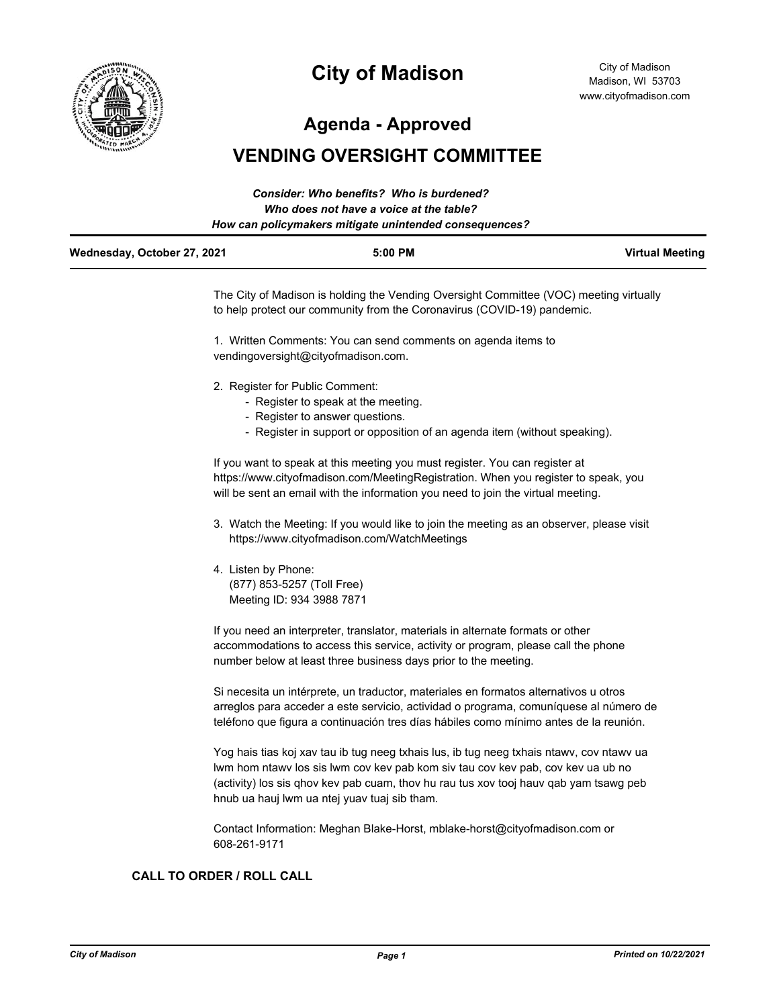

# **City of Madison**

City of Madison Madison, WI 53703 www.cityofmadison.com

**Agenda - Approved**

# **VENDING OVERSIGHT COMMITTEE**

|                             | Consider: Who benefits? Who is burdened?               |                        |
|-----------------------------|--------------------------------------------------------|------------------------|
|                             | Who does not have a voice at the table?                |                        |
|                             | How can policymakers mitigate unintended consequences? |                        |
| Wednesday, October 27, 2021 | $5:00$ PM                                              | <b>Virtual Meeting</b> |

The City of Madison is holding the Vending Oversight Committee (VOC) meeting virtually to help protect our community from the Coronavirus (COVID-19) pandemic.

1. Written Comments: You can send comments on agenda items to vendingoversight@cityofmadison.com.

- 2. Register for Public Comment:
	- Register to speak at the meeting.
	- Register to answer questions.
	- Register in support or opposition of an agenda item (without speaking).

If you want to speak at this meeting you must register. You can register at https://www.cityofmadison.com/MeetingRegistration. When you register to speak, you will be sent an email with the information you need to join the virtual meeting.

- 3. Watch the Meeting: If you would like to join the meeting as an observer, please visit https://www.cityofmadison.com/WatchMeetings
- 4. Listen by Phone: (877) 853-5257 (Toll Free) Meeting ID: 934 3988 7871

If you need an interpreter, translator, materials in alternate formats or other accommodations to access this service, activity or program, please call the phone number below at least three business days prior to the meeting.

Si necesita un intérprete, un traductor, materiales en formatos alternativos u otros arreglos para acceder a este servicio, actividad o programa, comuníquese al número de teléfono que figura a continuación tres días hábiles como mínimo antes de la reunión.

Yog hais tias koj xav tau ib tug neeg txhais lus, ib tug neeg txhais ntawv, cov ntawv ua lwm hom ntawv los sis lwm cov kev pab kom siv tau cov kev pab, cov kev ua ub no (activity) los sis qhov kev pab cuam, thov hu rau tus xov tooj hauv qab yam tsawg peb hnub ua hauj lwm ua ntej yuav tuaj sib tham.

Contact Information: Meghan Blake-Horst, mblake-horst@cityofmadison.com or 608-261-9171

## **CALL TO ORDER / ROLL CALL**